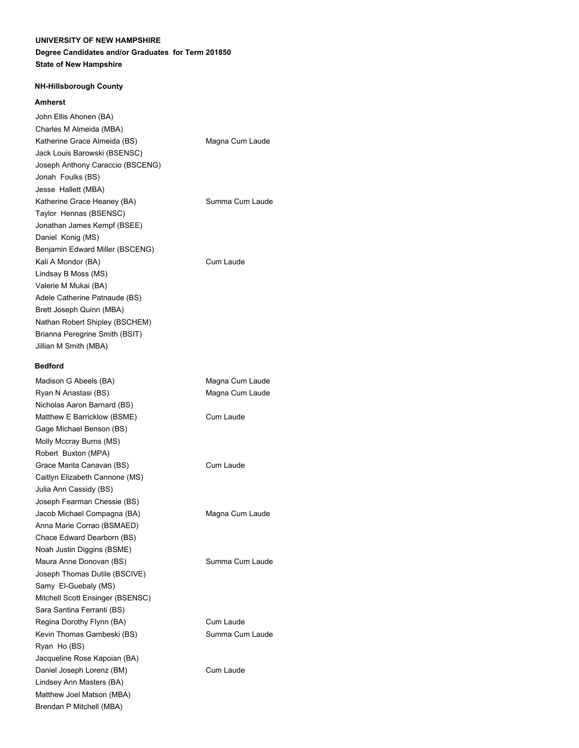### **Degree Candidates and/or Graduates for Term 201850 State of New Hampshire**

#### **NH-Hillsborough County**

#### **Amherst**

| John Ellis Ahonen (BA)           |                 |
|----------------------------------|-----------------|
| Charles M Almeida (MBA)          |                 |
| Katherine Grace Almeida (BS)     | Magna Cum Laude |
| Jack Louis Barowski (BSENSC)     |                 |
| Joseph Anthony Caraccio (BSCENG) |                 |
| Jonah Foulks (BS)                |                 |
| Jesse Hallett (MBA)              |                 |
| Katherine Grace Heaney (BA)      | Summa Cum Laude |
| Taylor Hennas (BSENSC)           |                 |
| Jonathan James Kempf (BSEE)      |                 |
| Daniel Konig (MS)                |                 |
| Benjamin Edward Miller (BSCENG)  |                 |
| Kali A Mondor (BA)               | Cum Laude       |
| Lindsay B Moss (MS)              |                 |
| Valerie M Mukai (BA)             |                 |
| Adele Catherine Patnaude (BS)    |                 |
| Brett Joseph Quinn (MBA)         |                 |
| Nathan Robert Shipley (BSCHEM)   |                 |
| Brianna Peregrine Smith (BSIT)   |                 |
| Jillian M Smith (MBA)            |                 |
|                                  |                 |

#### **Bedford**

Madison G Abeels (BA) Magna Cum Laude Ryan N Anastasi (BS) Magna Cum Laude Nicholas Aaron Barnard (BS) Matthew E Barricklow (BSME) Cum Laude Gage Michael Benson (BS) Molly Mccray Burns (MS) Robert Buxton (MPA) Grace Marita Canavan (BS) Cum Laude Caitlyn Elizabeth Cannone (MS) Julia Ann Cassidy (BS) Joseph Fearman Chessie (BS) Jacob Michael Compagna (BA) Magna Cum Laude Anna Marie Corrao (BSMAED) Chace Edward Dearborn (BS) Noah Justin Diggins (BSME) Maura Anne Donovan (BS) Summa Cum Laude Joseph Thomas Dutile (BSCIVE) Samy El-Guebaly (MS) Mitchell Scott Ensinger (BSENSC) Sara Santina Ferranti (BS) Regina Dorothy Flynn (BA) Cum Laude Kevin Thomas Gambeski (BS) Summa Cum Laude Ryan Ho (BS) Jacqueline Rose Kapoian (BA) Daniel Joseph Lorenz (BM) Cum Laude Lindsey Ann Masters (BA) Matthew Joel Matson (MBA) Brendan P Mitchell (MBA)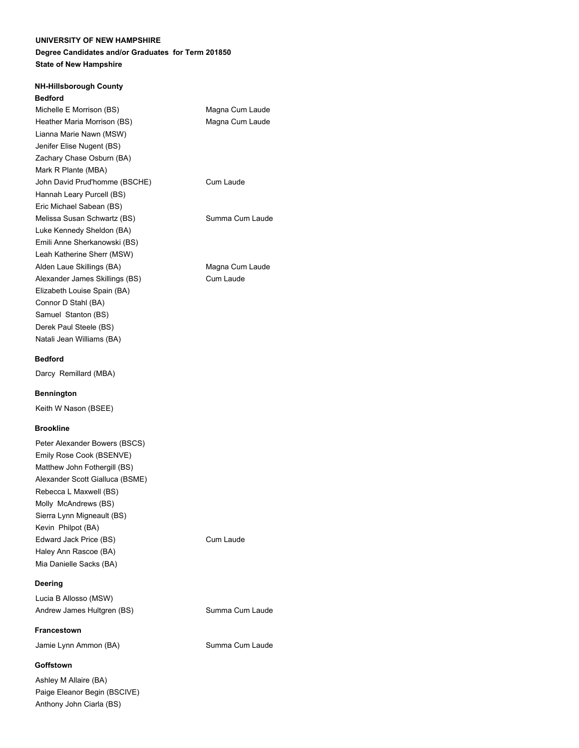## **Degree Candidates and/or Graduates for Term 201850 State of New Hampshire**

# **NH-Hillsborough County Bedford** Michelle E Morrison (BS) Magna Cum Laude Heather Maria Morrison (BS) Magna Cum Laude Lianna Marie Nawn (MSW) Jenifer Elise Nugent (BS) Zachary Chase Osburn (BA) Mark R Plante (MBA) John David Prud'homme (BSCHE) Cum Laude Hannah Leary Purcell (BS) Eric Michael Sabean (BS) Melissa Susan Schwartz (BS) Summa Cum Laude Luke Kennedy Sheldon (BA) Emili Anne Sherkanowski (BS) Leah Katherine Sherr (MSW) Alden Laue Skillings (BA) Magna Cum Laude Alexander James Skillings (BS) Cum Laude Elizabeth Louise Spain (BA) Connor D Stahl (BA) Samuel Stanton (BS) Derek Paul Steele (BS) Natali Jean Williams (BA)

### **Bedford**

Darcy Remillard (MBA)

### **Bennington**

Keith W Nason (BSEE)

### **Brookline**

Peter Alexander Bowers (BSCS) Emily Rose Cook (BSENVE) Matthew John Fothergill (BS) Alexander Scott Gialluca (BSME) Rebecca L Maxwell (BS) Molly McAndrews (BS) Sierra Lynn Migneault (BS) Kevin Philpot (BA) Edward Jack Price (BS) Cum Laude Haley Ann Rascoe (BA) Mia Danielle Sacks (BA)

### **Deering**

Lucia B Allosso (MSW) Andrew James Hultgren (BS) Summa Cum Laude

### **Francestown**

Jamie Lynn Ammon (BA) Summa Cum Laude

### **Goffstown**

Ashley M Allaire (BA) Paige Eleanor Begin (BSCIVE) Anthony John Ciarla (BS)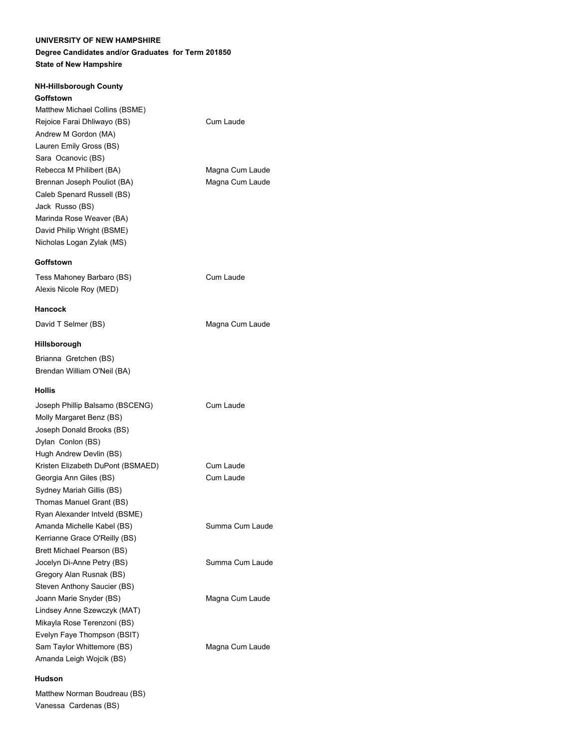## **Degree Candidates and/or Graduates for Term 201850 State of New Hampshire**

| <b>NH-Hillsborough County</b>     |                 |
|-----------------------------------|-----------------|
| Goffstown                         |                 |
| Matthew Michael Collins (BSME)    |                 |
| Rejoice Farai Dhliwayo (BS)       | Cum Laude       |
| Andrew M Gordon (MA)              |                 |
| Lauren Emily Gross (BS)           |                 |
| Sara Ocanovic (BS)                |                 |
| Rebecca M Philibert (BA)          | Magna Cum Laude |
| Brennan Joseph Pouliot (BA)       | Magna Cum Laude |
| Caleb Spenard Russell (BS)        |                 |
| Jack Russo (BS)                   |                 |
| Marinda Rose Weaver (BA)          |                 |
| David Philip Wright (BSME)        |                 |
| Nicholas Logan Zylak (MS)         |                 |
| Goffstown                         |                 |
| Tess Mahoney Barbaro (BS)         | Cum Laude       |
| Alexis Nicole Roy (MED)           |                 |
|                                   |                 |
| Hancock                           |                 |
| David T Selmer (BS)               | Magna Cum Laude |
| Hillsborough                      |                 |
| Brianna Gretchen (BS)             |                 |
| Brendan William O'Neil (BA)       |                 |
|                                   |                 |
| Hollis                            |                 |
| Joseph Phillip Balsamo (BSCENG)   | Cum Laude       |
| Molly Margaret Benz (BS)          |                 |
| Joseph Donald Brooks (BS)         |                 |
| Dylan Conlon (BS)                 |                 |
| Hugh Andrew Devlin (BS)           |                 |
| Kristen Elizabeth DuPont (BSMAED) | Cum Laude       |
| Georgia Ann Giles (BS)            | Cum Laude       |
| Sydney Mariah Gillis (BS)         |                 |
| Thomas Manuel Grant (BS)          |                 |
| Ryan Alexander Intveld (BSME)     |                 |
| Amanda Michelle Kabel (BS)        | Summa Cum Laude |
| Kerrianne Grace O'Reilly (BS)     |                 |
| Brett Michael Pearson (BS)        |                 |
| Jocelyn Di-Anne Petry (BS)        | Summa Cum Laude |
| Gregory Alan Rusnak (BS)          |                 |
| Steven Anthony Saucier (BS)       |                 |
| Joann Marie Snyder (BS)           | Magna Cum Laude |
| Lindsey Anne Szewczyk (MAT)       |                 |

Sam Taylor Whittemore (BS) Magna Cum Laude

### **Hudson**

Matthew Norman Boudreau (BS) Vanessa Cardenas (BS)

Mikayla Rose Terenzoni (BS) Evelyn Faye Thompson (BSIT)

Amanda Leigh Wojcik (BS)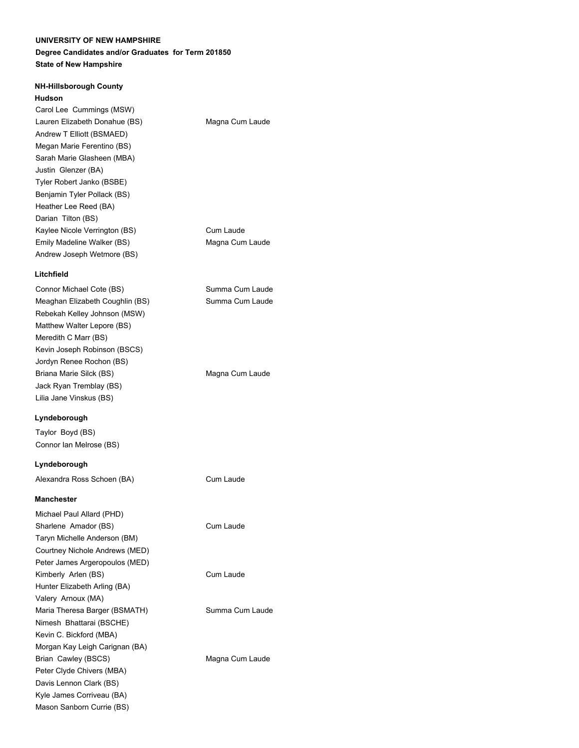### **Degree Candidates and/or Graduates for Term 201850 State of New Hampshire**

## **NH-Hillsborough County**

#### **Hudson**

Carol Lee Cummings (MSW) Lauren Elizabeth Donahue (BS) Magna Cum Laude Andrew T Elliott (BSMAED) Megan Marie Ferentino (BS) Sarah Marie Glasheen (MBA) Justin Glenzer (BA) Tyler Robert Janko (BSBE) Benjamin Tyler Pollack (BS) Heather Lee Reed (BA) Darian Tilton (BS) Kaylee Nicole Verrington (BS) Cum Laude Emily Madeline Walker (BS) Magna Cum Laude Andrew Joseph Wetmore (BS)

#### **Litchfield**

Connor Michael Cote (BS) Summa Cum Laude Meaghan Elizabeth Coughlin (BS) Summa Cum Laude Rebekah Kelley Johnson (MSW) Matthew Walter Lepore (BS) Meredith C Marr (BS) Kevin Joseph Robinson (BSCS) Jordyn Renee Rochon (BS) Briana Marie Silck (BS) Magna Cum Laude Jack Ryan Tremblay (BS) Lilia Jane Vinskus (BS) **Lyndeborough** Taylor Boyd (BS) Connor Ian Melrose (BS) **Lyndeborough**  Alexandra Ross Schoen (BA) Cum Laude **Manchester** Michael Paul Allard (PHD) Sharlene Amador (BS) Cum Laude Taryn Michelle Anderson (BM)

Courtney Nichole Andrews (MED) Peter James Argeropoulos (MED) Kimberly Arlen (BS) Cum Laude Hunter Elizabeth Arling (BA) Valery Arnoux (MA) Maria Theresa Barger (BSMATH) Summa Cum Laude Nimesh Bhattarai (BSCHE) Kevin C. Bickford (MBA) Morgan Kay Leigh Carignan (BA) Brian Cawley (BSCS) Magna Cum Laude Peter Clyde Chivers (MBA) Davis Lennon Clark (BS) Kyle James Corriveau (BA) Mason Sanborn Currie (BS)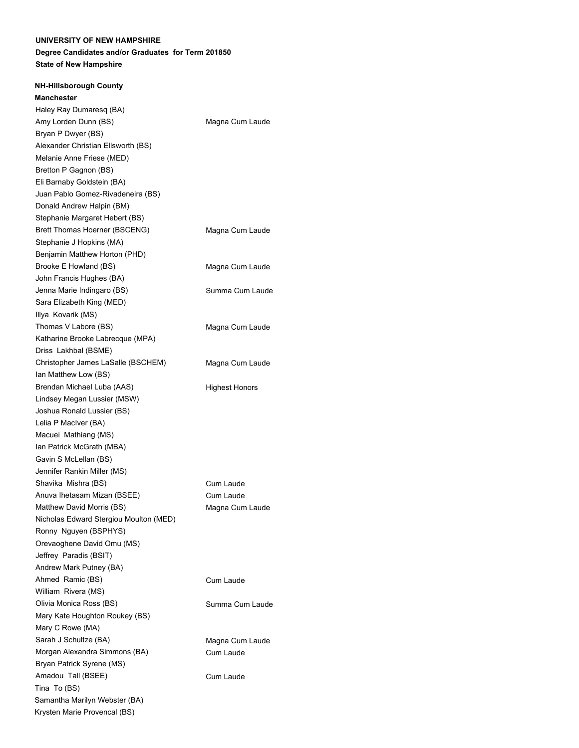### **Degree Candidates and/or Graduates for Term 201850 State of New Hampshire**

### **NH-Hillsborough County**

Magna Cum Laude Magna Cum Laude Magna Cum Laude Summa Cum Laude Magna Cum Laude Magna Cum Laude Highest Honors Cum Laude Cum Laude Magna Cum Laude Cum Laude Summa Cum Laude Magna Cum Laude Cum Laude Cum Laude **Manchester** Haley Ray Dumaresq (BA) Amy Lorden Dunn (BS) Bryan P Dwyer (BS) Alexander Christian Ellsworth (BS) Melanie Anne Friese (MED) Bretton P Gagnon (BS) Eli Barnaby Goldstein (BA) Juan Pablo Gomez-Rivadeneira (BS) Donald Andrew Halpin (BM) Stephanie Margaret Hebert (BS) Brett Thomas Hoerner (BSCENG) Stephanie J Hopkins (MA) Benjamin Matthew Horton (PHD) Brooke E Howland (BS) John Francis Hughes (BA) Jenna Marie Indingaro (BS) Sara Elizabeth King (MED) Illya Kovarik (MS) Thomas V Labore (BS) Katharine Brooke Labrecque (MPA) Driss Lakhbal (BSME) Christopher James LaSalle (BSCHEM) Ian Matthew Low (BS) Brendan Michael Luba (AAS) Lindsey Megan Lussier (MSW) Joshua Ronald Lussier (BS) Lelia P MacIver (BA) Macuei Mathiang (MS) Ian Patrick McGrath (MBA) Gavin S McLellan (BS) Jennifer Rankin Miller (MS) Shavika Mishra (BS) Anuva Ihetasam Mizan (BSEE) Matthew David Morris (BS) Nicholas Edward Stergiou Moulton (MED) Ronny Nguyen (BSPHYS) Orevaoghene David Omu (MS) Jeffrey Paradis (BSIT) Andrew Mark Putney (BA) Ahmed Ramic (BS) William Rivera (MS) Olivia Monica Ross (BS) Mary Kate Houghton Roukey (BS) Mary C Rowe (MA) Sarah J Schultze (BA) Morgan Alexandra Simmons (BA) Bryan Patrick Syrene (MS) Amadou Tall (BSEE) Tina To (BS) Samantha Marilyn Webster (BA) Krysten Marie Provencal (BS)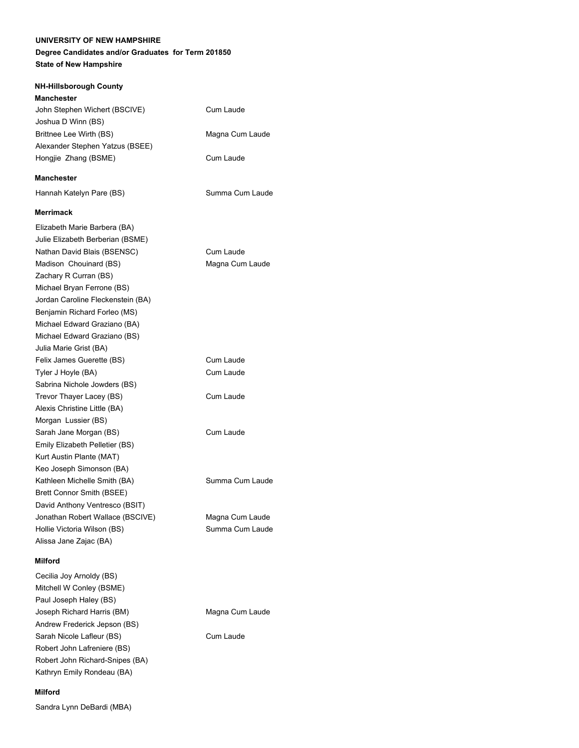## **Degree Candidates and/or Graduates for Term 201850 State of New Hampshire**

#### **NH-Hillsborough County**

| Manchester |  |
|------------|--|
|------------|--|

| John Stephen Wichert (BSCIVE)<br>Joshua D Winn (BS) | Cum Laude       |
|-----------------------------------------------------|-----------------|
| Brittnee Lee Wirth (BS)                             | Magna Cum Laude |
| Alexander Stephen Yatzus (BSEE)                     |                 |
| Hongjie Zhang (BSME)                                | Cum Laude       |
| <b>Manchester</b>                                   |                 |
| Hannah Katelyn Pare (BS)                            | Summa Cum Laude |
| <b>Merrimack</b>                                    |                 |
| Elizabeth Marie Barbera (BA)                        |                 |
| Julie Elizabeth Berberian (BSME)                    |                 |
| Nathan David Blais (BSENSC)                         | Cum Laude       |
| Madison Chouinard (BS)                              | Magna Cum Laude |
| Zachary R Curran (BS)                               |                 |
| Michael Bryan Ferrone (BS)                          |                 |
| Jordan Caroline Fleckenstein (BA)                   |                 |
| Benjamin Richard Forleo (MS)                        |                 |
| Michael Edward Graziano (BA)                        |                 |
| Michael Edward Graziano (BS)                        |                 |
| Julia Marie Grist (BA)                              |                 |
| Felix James Guerette (BS)                           | Cum Laude       |
| Tyler J Hoyle (BA)                                  | Cum Laude       |
| Sabrina Nichole Jowders (BS)                        |                 |
| Trevor Thayer Lacey (BS)                            | Cum Laude       |
| Alexis Christine Little (BA)                        |                 |
| Morgan Lussier (BS)                                 |                 |
| Sarah Jane Morgan (BS)                              | Cum Laude       |
| Emily Elizabeth Pelletier (BS)                      |                 |
| Kurt Austin Plante (MAT)                            |                 |
| Keo Joseph Simonson (BA)                            |                 |
| Kathleen Michelle Smith (BA)                        | Summa Cum Laude |
| Brett Connor Smith (BSEE)                           |                 |
| David Anthony Ventresco (BSIT)                      |                 |
| Jonathan Robert Wallace (BSCIVE)                    | Magna Cum Laude |
| Hollie Victoria Wilson (BS)                         | Summa Cum Laude |

#### **Milford**

Alissa Jane Zajac (BA)

Cecilia Joy Arnoldy (BS) Mitchell W Conley (BSME) Paul Joseph Haley (BS) Joseph Richard Harris (BM) Magna Cum Laude Andrew Frederick Jepson (BS) Sarah Nicole Lafleur (BS) Cum Laude Robert John Lafreniere (BS) Robert John Richard-Snipes (BA) Kathryn Emily Rondeau (BA)

#### **Milford**

Sandra Lynn DeBardi (MBA)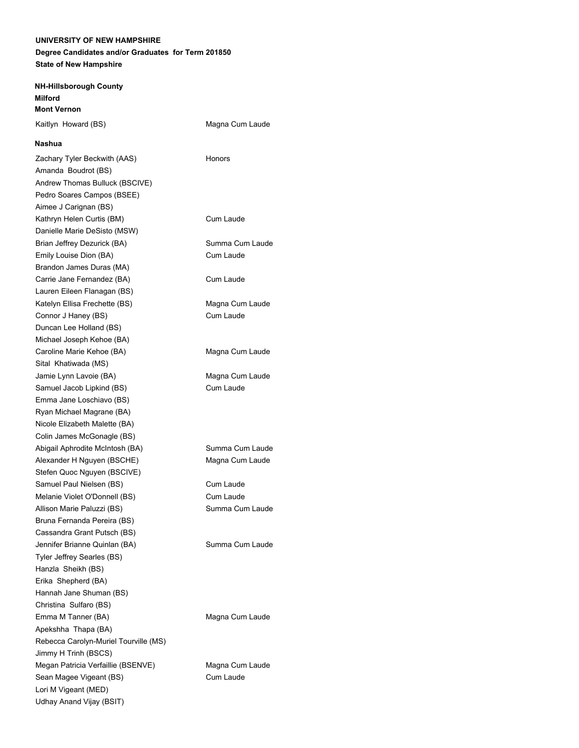### **Degree Candidates and/or Graduates for Term 201850 State of New Hampshire**

**NH-Hillsborough County Milford Mont Vernon**

Kaitlyn Howard (BS) Magna Cum Laude

#### **Nashua**

Zachary Tyler Beckwith (AAS) Honors Amanda Boudrot (BS) Andrew Thomas Bulluck (BSCIVE) Pedro Soares Campos (BSEE) Aimee J Carignan (BS) Kathryn Helen Curtis (BM) Cum Laude Danielle Marie DeSisto (MSW) Brian Jeffrey Dezurick (BA) Summa Cum Laude Emily Louise Dion (BA) Cum Laude Brandon James Duras (MA) Carrie Jane Fernandez (BA) Cum Laude Lauren Eileen Flanagan (BS) Katelyn Ellisa Frechette (BS) Magna Cum Laude Connor J Haney (BS) Cum Laude Duncan Lee Holland (BS) Michael Joseph Kehoe (BA) Caroline Marie Kehoe (BA) Magna Cum Laude Sital Khatiwada (MS) Jamie Lynn Lavoie (BA) Magna Cum Laude Samuel Jacob Lipkind (BS) Cum Laude Emma Jane Loschiavo (BS) Ryan Michael Magrane (BA) Nicole Elizabeth Malette (BA) Colin James McGonagle (BS) Abigail Aphrodite McIntosh (BA) Summa Cum Laude Alexander H Nguyen (BSCHE) Magna Cum Laude Stefen Quoc Nguyen (BSCIVE) Samuel Paul Nielsen (BS) Cum Laude Melanie Violet O'Donnell (BS) Cum Laude Allison Marie Paluzzi (BS) Summa Cum Laude Bruna Fernanda Pereira (BS) Cassandra Grant Putsch (BS) Jennifer Brianne Quinlan (BA) Summa Cum Laude Tyler Jeffrey Searles (BS) Hanzla Sheikh (BS) Erika Shepherd (BA) Hannah Jane Shuman (BS) Christina Sulfaro (BS) Emma M Tanner (BA) Magna Cum Laude Apekshha Thapa (BA) Rebecca Carolyn-Muriel Tourville (MS) Jimmy H Trinh (BSCS) Megan Patricia Verfaillie (BSENVE) Magna Cum Laude Sean Magee Vigeant (BS) Cum Laude Lori M Vigeant (MED) Udhay Anand Vijay (BSIT)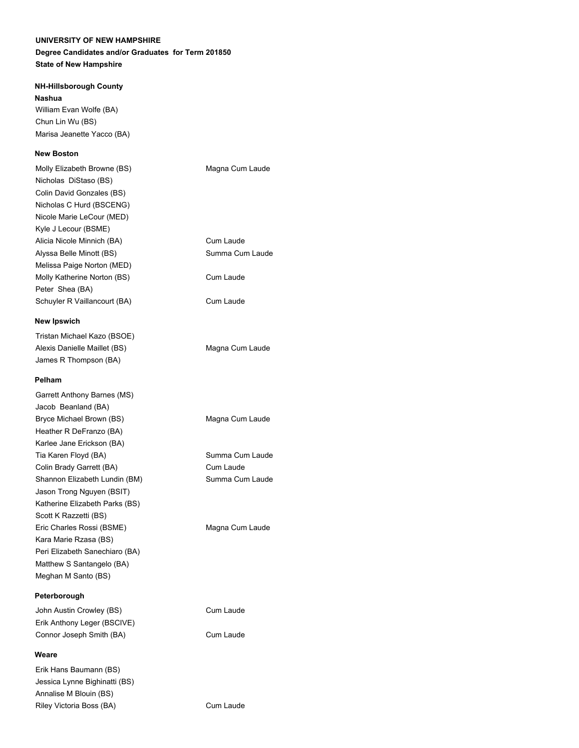## **Degree Candidates and/or Graduates for Term 201850 State of New Hampshire**

### **NH-Hillsborough County**

**Nashua**

William Evan Wolfe (BA) Chun Lin Wu (BS) Marisa Jeanette Yacco (BA)

Erik Hans Baumann (BS) Jessica Lynne Bighinatti (BS) Annalise M Blouin (BS)

## **New Boston**

| Molly Elizabeth Browne (BS)                        | Magna Cum Laude |
|----------------------------------------------------|-----------------|
| Nicholas DiStaso (BS)<br>Colin David Gonzales (BS) |                 |
| Nicholas C Hurd (BSCENG)                           |                 |
| Nicole Marie LeCour (MED)                          |                 |
| Kyle J Lecour (BSME)                               |                 |
| Alicia Nicole Minnich (BA)                         | Cum Laude       |
| Alyssa Belle Minott (BS)                           | Summa Cum Laude |
| Melissa Paige Norton (MED)                         |                 |
| Molly Katherine Norton (BS)                        | Cum Laude       |
| Peter Shea (BA)                                    |                 |
| Schuyler R Vaillancourt (BA)                       | Cum Laude       |
| <b>New Ipswich</b>                                 |                 |
|                                                    |                 |
| Tristan Michael Kazo (BSOE)                        |                 |
| Alexis Danielle Maillet (BS)                       | Magna Cum Laude |
| James R Thompson (BA)                              |                 |
| Pelham                                             |                 |
| Garrett Anthony Barnes (MS)                        |                 |
| Jacob Beanland (BA)                                |                 |
| Bryce Michael Brown (BS)                           | Magna Cum Laude |
| Heather R DeFranzo (BA)                            |                 |
| Karlee Jane Erickson (BA)                          |                 |
| Tia Karen Floyd (BA)                               | Summa Cum Laude |
| Colin Brady Garrett (BA)                           | Cum Laude       |
| Shannon Elizabeth Lundin (BM)                      | Summa Cum Laude |
| Jason Trong Nguyen (BSIT)                          |                 |
| Katherine Elizabeth Parks (BS)                     |                 |
| Scott K Razzetti (BS)                              |                 |
| Eric Charles Rossi (BSME)                          | Magna Cum Laude |
| Kara Marie Rzasa (BS)                              |                 |
| Peri Elizabeth Sanechiaro (BA)                     |                 |
| Matthew S Santangelo (BA)                          |                 |
| Meghan M Santo (BS)                                |                 |
| Peterborough                                       |                 |
| John Austin Crowley (BS)                           | Cum Laude       |
| Erik Anthony Leger (BSCIVE)                        |                 |
| Connor Joseph Smith (BA)                           | Cum Laude       |
| Weare                                              |                 |

Riley Victoria Boss (BA) Cum Laude